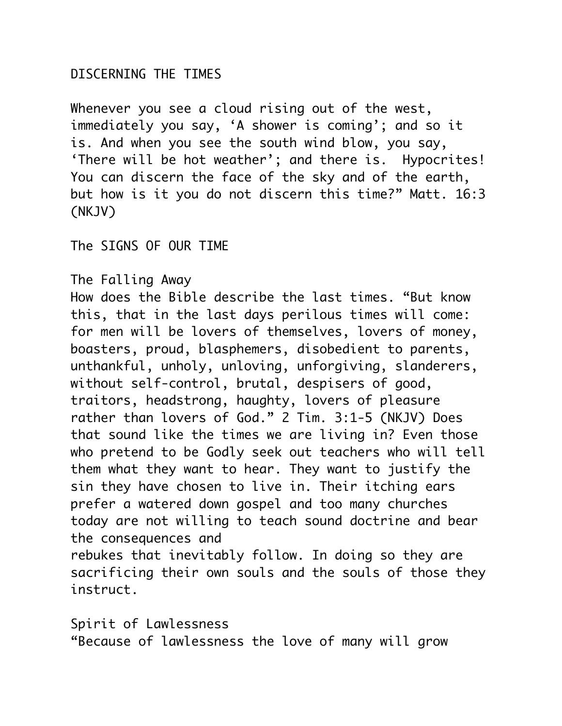## DISCERNING THE TIMES

Whenever you see a cloud rising out of the west, immediately you say, 'A shower is coming'; and so it is. And when you see the south wind blow, you say, 'There will be hot weather'; and there is. Hypocrites! You can discern the face of the sky and of the earth, but how is it you do not discern this time?" Matt. 16:3 (NKJV)

The SIGNS OF OUR TIME

The Falling Away

How does the Bible describe the last times. "But know this, that in the last days perilous times will come: for men will be lovers of themselves, lovers of money, boasters, proud, blasphemers, disobedient to parents, unthankful, unholy, unloving, unforgiving, slanderers, without self-control, brutal, despisers of good, traitors, headstrong, haughty, lovers of pleasure rather than lovers of God." 2 Tim. 3:1-5 (NKJV) Does that sound like the times we are living in? Even those who pretend to be Godly seek out teachers who will tell them what they want to hear. They want to justify the sin they have chosen to live in. Their itching ears prefer a watered down gospel and too many churches today are not willing to teach sound doctrine and bear the consequences and rebukes that inevitably follow. In doing so they are sacrificing their own souls and the souls of those they instruct.

Spirit of Lawlessness

"Because of lawlessness the love of many will grow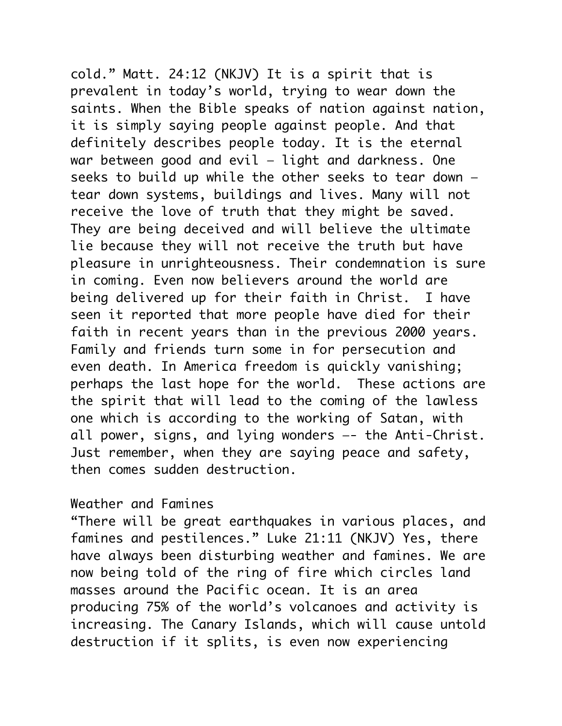cold." Matt. 24:12 (NKJV) It is a spirit that is prevalent in today's world, trying to wear down the saints. When the Bible speaks of nation against nation, it is simply saying people against people. And that definitely describes people today. It is the eternal war between good and evil — light and darkness. One seeks to build up while the other seeks to tear down tear down systems, buildings and lives. Many will not receive the love of truth that they might be saved. They are being deceived and will believe the ultimate lie because they will not receive the truth but have pleasure in unrighteousness. Their condemnation is sure in coming. Even now believers around the world are being delivered up for their faith in Christ. I have seen it reported that more people have died for their faith in recent years than in the previous 2000 years. Family and friends turn some in for persecution and even death. In America freedom is quickly vanishing; perhaps the last hope for the world. These actions are the spirit that will lead to the coming of the lawless one which is according to the working of Satan, with all power, signs, and lying wonders —- the Anti-Christ. Just remember, when they are saying peace and safety, then comes sudden destruction.

## Weather and Famines

"There will be great earthquakes in various places, and famines and pestilences." Luke 21:11 (NKJV) Yes, there have always been disturbing weather and famines. We are now being told of the ring of fire which circles land masses around the Pacific ocean. It is an area producing 75% of the world's volcanoes and activity is increasing. The Canary Islands, which will cause untold destruction if it splits, is even now experiencing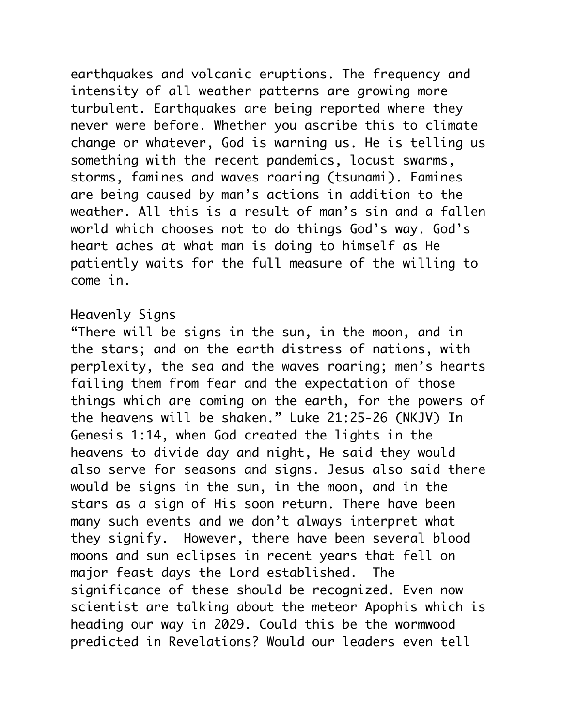earthquakes and volcanic eruptions. The frequency and intensity of all weather patterns are growing more turbulent. Earthquakes are being reported where they never were before. Whether you ascribe this to climate change or whatever, God is warning us. He is telling us something with the recent pandemics, locust swarms, storms, famines and waves roaring (tsunami). Famines are being caused by man's actions in addition to the weather. All this is a result of man's sin and a fallen world which chooses not to do things God's way. God's heart aches at what man is doing to himself as He patiently waits for the full measure of the willing to come in.

## Heavenly Signs

"There will be signs in the sun, in the moon, and in the stars; and on the earth distress of nations, with perplexity, the sea and the waves roaring; men's hearts failing them from fear and the expectation of those things which are coming on the earth, for the powers of the heavens will be shaken." Luke 21:25-26 (NKJV) In Genesis 1:14, when God created the lights in the heavens to divide day and night, He said they would also serve for seasons and signs. Jesus also said there would be signs in the sun, in the moon, and in the stars as a sign of His soon return. There have been many such events and we don't always interpret what they signify. However, there have been several blood moons and sun eclipses in recent years that fell on major feast days the Lord established. The significance of these should be recognized. Even now scientist are talking about the meteor Apophis which is heading our way in 2029. Could this be the wormwood predicted in Revelations? Would our leaders even tell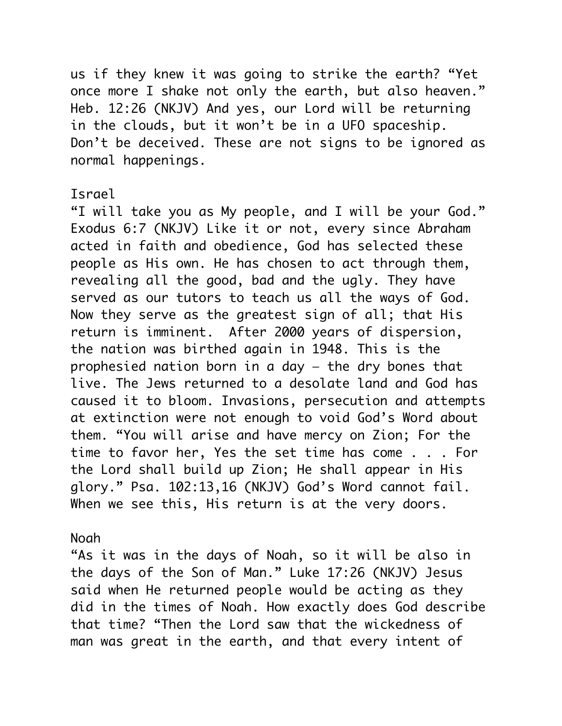us if they knew it was going to strike the earth? "Yet once more I shake not only the earth, but also heaven." Heb. 12:26 (NKJV) And yes, our Lord will be returning in the clouds, but it won't be in a UFO spaceship. Don't be deceived. These are not signs to be ignored as normal happenings.

#### Israel

"I will take you as My people, and I will be your God." Exodus 6:7 (NKJV) Like it or not, every since Abraham acted in faith and obedience, God has selected these people as His own. He has chosen to act through them, revealing all the good, bad and the ugly. They have served as our tutors to teach us all the ways of God. Now they serve as the greatest sign of all; that His return is imminent. After 2000 years of dispersion, the nation was birthed again in 1948. This is the prophesied nation born in a day — the dry bones that live. The Jews returned to a desolate land and God has caused it to bloom. Invasions, persecution and attempts at extinction were not enough to void God's Word about them. "You will arise and have mercy on Zion; For the time to favor her, Yes the set time has come . . . For the Lord shall build up Zion; He shall appear in His glory." Psa. 102:13,16 (NKJV) God's Word cannot fail. When we see this, His return is at the very doors.

#### Noah

"As it was in the days of Noah, so it will be also in the days of the Son of Man." Luke 17:26 (NKJV) Jesus said when He returned people would be acting as they did in the times of Noah. How exactly does God describe that time? "Then the Lord saw that the wickedness of man was great in the earth, and that every intent of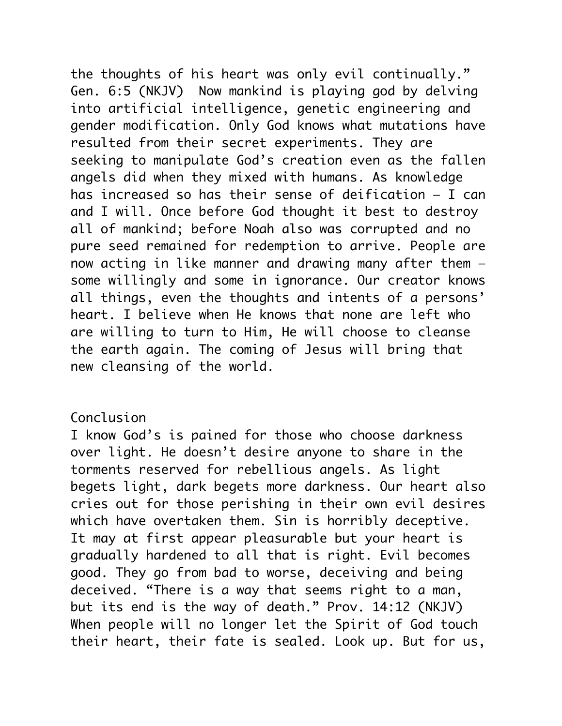the thoughts of his heart was only evil continually." Gen. 6:5 (NKJV) Now mankind is playing god by delving into artificial intelligence, genetic engineering and gender modification. Only God knows what mutations have resulted from their secret experiments. They are seeking to manipulate God's creation even as the fallen angels did when they mixed with humans. As knowledge has increased so has their sense of deification — I can and I will. Once before God thought it best to destroy all of mankind; before Noah also was corrupted and no pure seed remained for redemption to arrive. People are now acting in like manner and drawing many after them some willingly and some in ignorance. Our creator knows all things, even the thoughts and intents of a persons' heart. I believe when He knows that none are left who are willing to turn to Him, He will choose to cleanse the earth again. The coming of Jesus will bring that new cleansing of the world.

# Conclusion

I know God's is pained for those who choose darkness over light. He doesn't desire anyone to share in the torments reserved for rebellious angels. As light begets light, dark begets more darkness. Our heart also cries out for those perishing in their own evil desires which have overtaken them. Sin is horribly deceptive. It may at first appear pleasurable but your heart is gradually hardened to all that is right. Evil becomes good. They go from bad to worse, deceiving and being deceived. "There is a way that seems right to a man, but its end is the way of death." Prov. 14:12 (NKJV) When people will no longer let the Spirit of God touch their heart, their fate is sealed. Look up. But for us,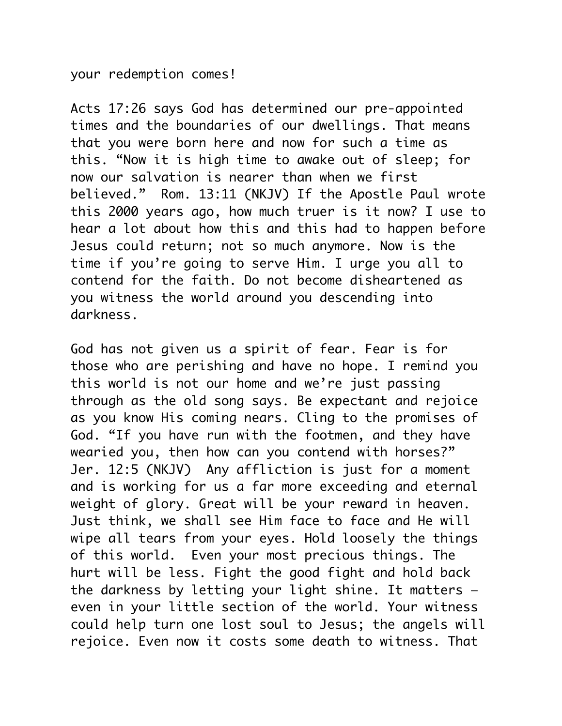your redemption comes!

Acts 17:26 says God has determined our pre-appointed times and the boundaries of our dwellings. That means that you were born here and now for such a time as this. "Now it is high time to awake out of sleep; for now our salvation is nearer than when we first believed." Rom. 13:11 (NKJV) If the Apostle Paul wrote this 2000 years ago, how much truer is it now? I use to hear a lot about how this and this had to happen before Jesus could return; not so much anymore. Now is the time if you're going to serve Him. I urge you all to contend for the faith. Do not become disheartened as you witness the world around you descending into darkness.

God has not given us a spirit of fear. Fear is for those who are perishing and have no hope. I remind you this world is not our home and we're just passing through as the old song says. Be expectant and rejoice as you know His coming nears. Cling to the promises of God. "If you have run with the footmen, and they have wearied you, then how can you contend with horses?" Jer. 12:5 (NKJV) Any affliction is just for a moment and is working for us a far more exceeding and eternal weight of glory. Great will be your reward in heaven. Just think, we shall see Him face to face and He will wipe all tears from your eyes. Hold loosely the things of this world. Even your most precious things. The hurt will be less. Fight the good fight and hold back the darkness by letting your light shine. It matters even in your little section of the world. Your witness could help turn one lost soul to Jesus; the angels will rejoice. Even now it costs some death to witness. That